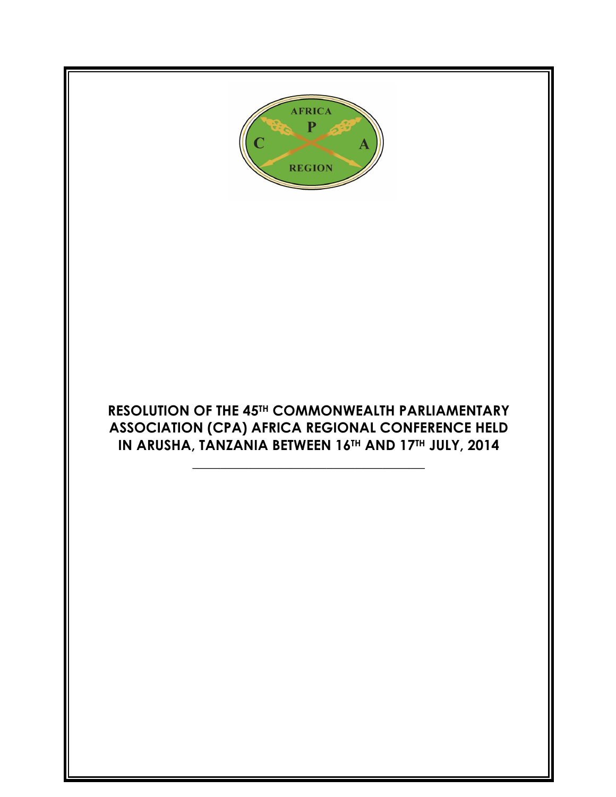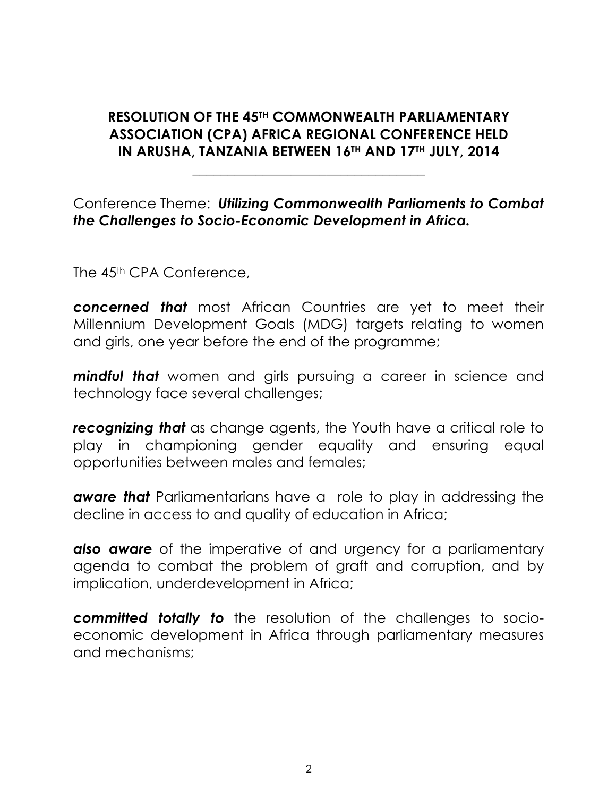## **RESOLUTION OF THE 45TH COMMONWEALTH PARLIAMENTARY ASSOCIATION (CPA) AFRICA REGIONAL CONFERENCE HELD IN ARUSHA, TANZANIA BETWEEN 16TH AND 17TH JULY, 2014**

**\_\_\_\_\_\_\_\_\_\_\_\_\_\_\_\_\_\_\_\_\_\_\_\_\_\_\_\_\_\_\_\_\_**

### Conference Theme: *Utilizing Commonwealth Parliaments to Combat the Challenges to Socio-Economic Development in Africa.*

The 45<sup>th</sup> CPA Conference,

*concerned that* most African Countries are yet to meet their Millennium Development Goals (MDG) targets relating to women and girls, one year before the end of the programme;

*mindful that* women and girls pursuing a career in science and technology face several challenges;

*recognizing that* as change agents, the Youth have a critical role to play in championing gender equality and ensuring equal opportunities between males and females;

*aware that* Parliamentarians have a role to play in addressing the decline in access to and quality of education in Africa;

*also aware* of the imperative of and urgency for a parliamentary agenda to combat the problem of graft and corruption, and by implication, underdevelopment in Africa;

*committed totally to* the resolution of the challenges to socioeconomic development in Africa through parliamentary measures and mechanisms;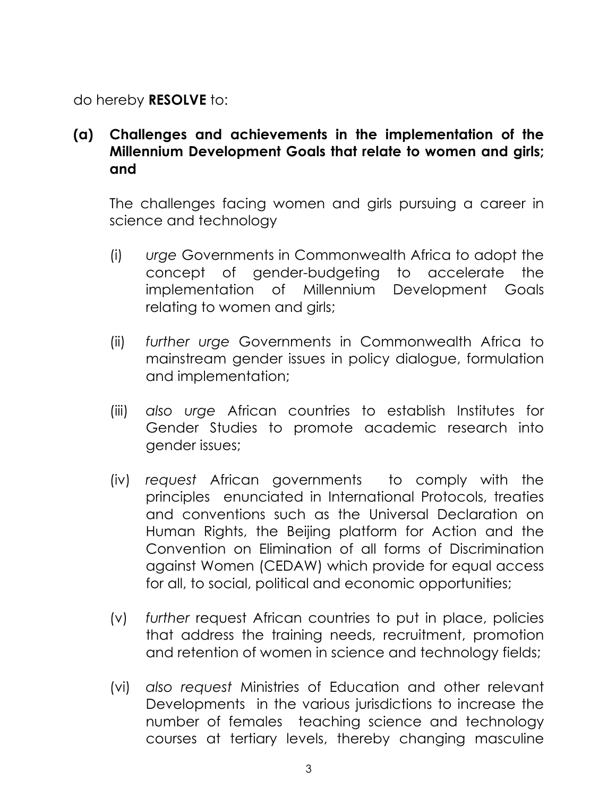do hereby **RESOLVE** to:

**(a) Challenges and achievements in the implementation of the Millennium Development Goals that relate to women and girls; and**

The challenges facing women and girls pursuing a career in science and technology

- (i) *urge* Governments in Commonwealth Africa to adopt the concept of gender-budgeting to accelerate the implementation of Millennium Development Goals relating to women and girls;
- (ii) *further urge* Governments in Commonwealth Africa to mainstream gender issues in policy dialogue, formulation and implementation;
- (iii) *also urge* African countries to establish Institutes for Gender Studies to promote academic research into gender issues;
- (iv) *request* African governments to comply with the principles enunciated in International Protocols, treaties and conventions such as the Universal Declaration on Human Rights, the Beijing platform for Action and the Convention on Elimination of all forms of Discrimination against Women (CEDAW) which provide for equal access for all, to social, political and economic opportunities;
- (v) *further* request African countries to put in place, policies that address the training needs, recruitment, promotion and retention of women in science and technology fields;
- (vi) *also request* Ministries of Education and other relevant Developments in the various jurisdictions to increase the number of females teaching science and technology courses at tertiary levels, thereby changing masculine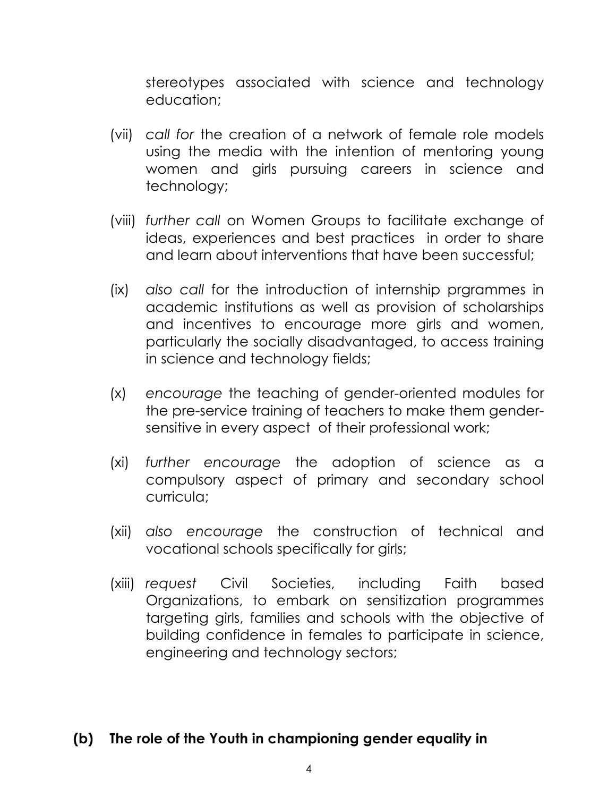stereotypes associated with science and technology education;

- (vii) *call for* the creation of a network of female role models using the media with the intention of mentoring young women and girls pursuing careers in science and technology;
- (viii) *further call* on Women Groups to facilitate exchange of ideas, experiences and best practices in order to share and learn about interventions that have been successful;
- (ix) *also call* for the introduction of internship prgrammes in academic institutions as well as provision of scholarships and incentives to encourage more girls and women, particularly the socially disadvantaged, to access training in science and technology fields;
- (x) *encourage* the teaching of gender-oriented modules for the pre-service training of teachers to make them gendersensitive in every aspect of their professional work;
- (xi) *further encourage* the adoption of science as a compulsory aspect of primary and secondary school curricula;
- (xii) *also encourage* the construction of technical and vocational schools specifically for girls;
- (xiii) *request* Civil Societies, including Faith based Organizations, to embark on sensitization programmes targeting girls, families and schools with the objective of building confidence in females to participate in science, engineering and technology sectors;

## **(b) The role of the Youth in championing gender equality in**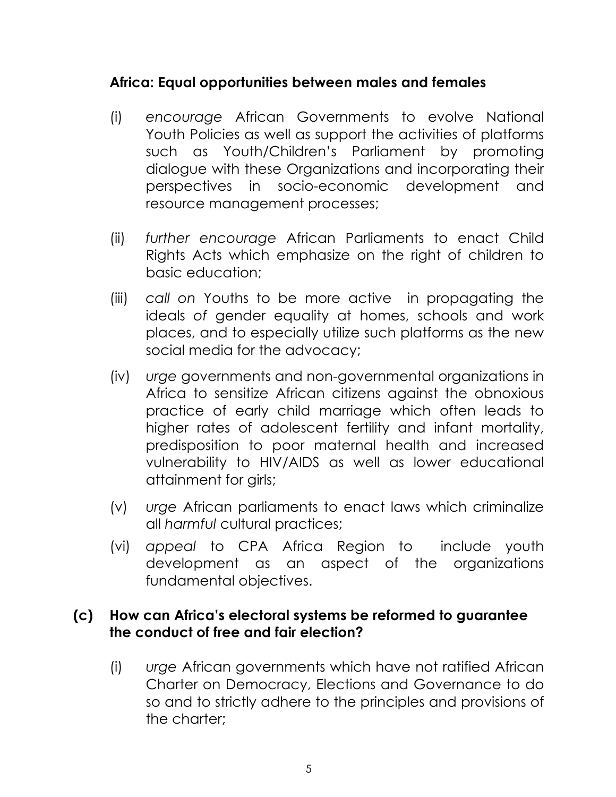## **Africa: Equal opportunities between males and females**

- (i) *encourage* African Governments to evolve National Youth Policies as well as support the activities of platforms such as Youth/Children's Parliament by promoting dialogue with these Organizations and incorporating their perspectives in socio-economic development and resource management processes;
- (ii) *further encourage* African Parliaments to enact Child Rights Acts which emphasize on the right of children to basic education;
- (iii) *call on* Youths to be more active in propagating the ideals *of* gender equality at homes, schools and work places, and to especially utilize such platforms as the new social media for the advocacy;
- (iv) *urge* governments and non-governmental organizations in Africa to sensitize African citizens against the obnoxious practice of early child marriage which often leads to higher rates of adolescent fertility and infant mortality, predisposition to poor maternal health and increased vulnerability to HIV/AIDS as well as lower educational attainment for girls;
- (v) *urge* African parliaments to enact laws which criminalize all *harmful* cultural practices;
- (vi) *appeal* to CPA Africa Region to include youth devel*o*pment as an aspect of the organizations fundamental objectives.

#### **(c) How can Africa's electoral systems be reformed to guarantee the conduct of free and fair election?**

(i) *urge* African governments which have not ratified African Charter on Democracy, Elections and Governance to do so and to strictly adhere to the principles and provisions of the charter;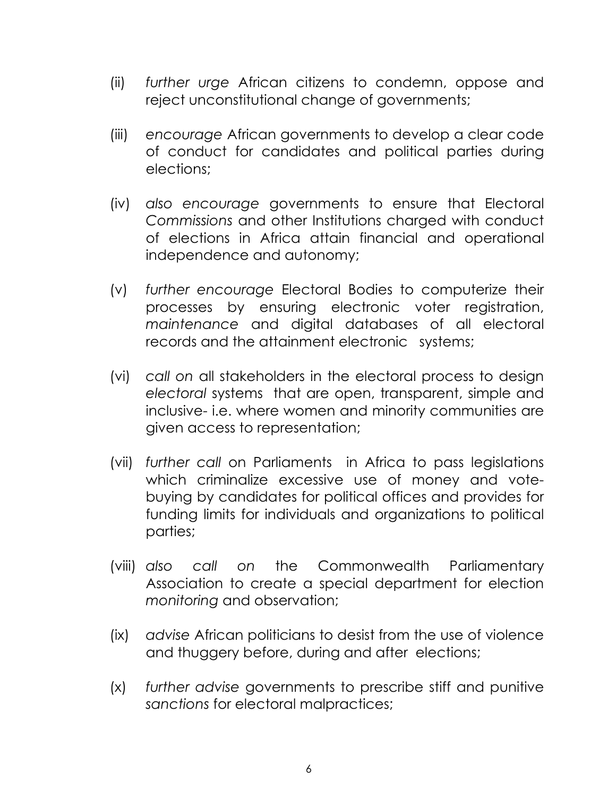- (ii) *further urge* African citizens to condemn, oppose and reject unconstitutional change of governments;
- (iii) *encourage* African governments to develop a clear code of conduct for candidates and political parties during elections;
- (iv) *also encourage* governments to ensure that Electoral *Commissions* and other Institutions charged with conduct of elections in Africa attain financial and operational independence and autonomy;
- (v) *further encourage* Electoral Bodies to computerize their processes by ensuring electronic voter registration, *maintenance* and digital databases of all electoral records and the attainment electronic systems;
- (vi) *call on* all stakeholders in the electoral process to design *electoral* systems that are open, transparent, simple and inclusive- i.e. where women and minority communities are given access to representation;
- (vii) *further call* on Parliaments in Africa to pass legislations which criminalize excessive use of money and votebuying by candidates for political offices and provides for funding limits for individuals and organizations to political parties;
- (viii) *also call on* the Commonwealth Parliamentary Association to create a special department for election *monitoring* and observation;
- (ix) *advise* African politicians to desist from the use of violence and thuggery before, during and after elections;
- (x) *further advise* governments to prescribe stiff and punitive *sanctions* for electoral malpractices;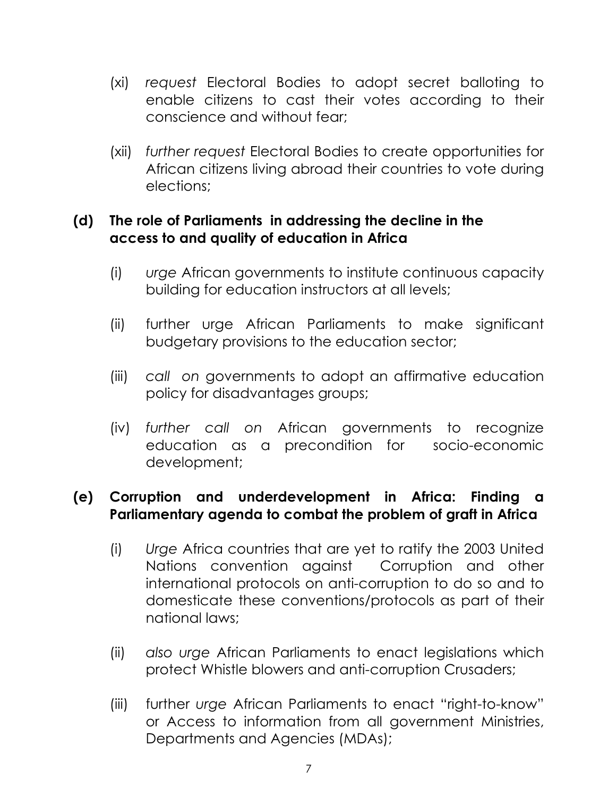- (xi) *request* Electoral Bodies to adopt secret balloting to enable citizens to cast their votes according to their conscience and without fear;
- (xii) *further request* Electoral Bodies to create opportunities for African citizens living abroad their countries to vote during elections;

## **(d) The role of Parliaments in addressing the decline in the access to and quality of education in Africa**

- (i) *urge* African governments to institute continuous capacity building for education instructors at all levels;
- (ii) further urge African Parliaments to make significant budgetary provisions to the education sector;
- (iii) *call on* governments to adopt an affirmative education policy for disadvantages groups;
- (iv) *further call on* African governments to recognize education as a precondition for socio-economic development;

## **(e) Corruption and underdevelopment in Africa: Finding a Parliamentary agenda to combat the problem of graft in Africa**

- (i) *Urge* Africa countries that are yet to ratify the 2003 United Nations convention against Corruption and other international protocols on anti-corruption to do so and to domesticate these conventions/protocols as part of their national laws;
- (ii) *also urge* African Parliaments to enact legislations which protect Whistle blowers and anti-corruption Crusaders;
- (iii) further *urge* African Parliaments to enact "right-to-know" or Access to information from all government Ministries, Departments and Agencies (MDAs);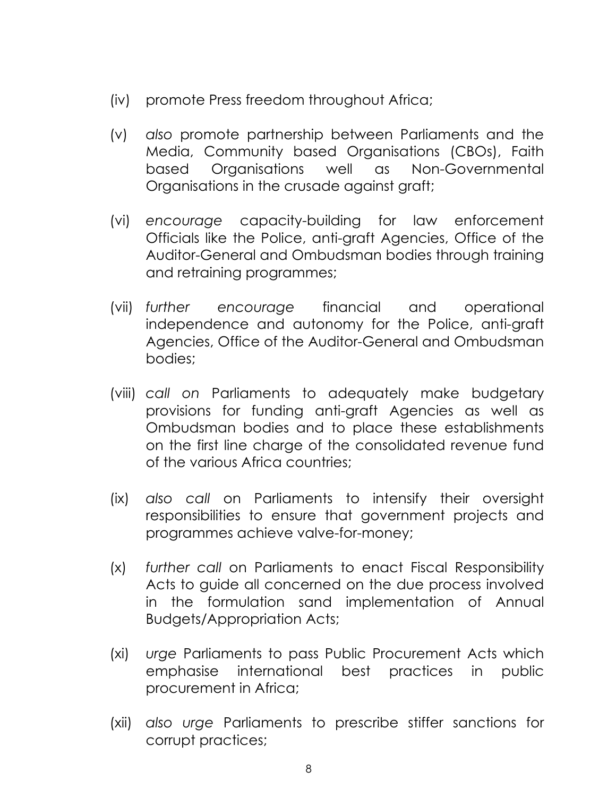- (iv) promote Press freedom throughout Africa;
- (v) *also* promote partnership between Parliaments and the Media, Community based Organisations (CBOs), Faith based Organisations well as Non-Governmental Organisations in the crusade against graft;
- (vi) *encourage* capacity-building for law enforcement Officials like the Police, anti-graft Agencies, Office of the Auditor-General and Ombudsman bodies through training and retraining programmes;
- (vii) *further encourage* financial and operational independence and autonomy for the Police, anti-graft Agencies, Office of the Auditor-General and Ombudsman bodies;
- (viii) *call on* Parliaments to adequately make budgetary provisions for funding anti-graft Agencies as well as Ombudsman bodies and to place these establishments on the first line charge of the consolidated revenue fund of the various Africa countries;
- (ix) *also call* on Parliaments to intensify their oversight responsibilities to ensure that government projects and programmes achieve valve-for-money;
- (x) *further call* on Parliaments to enact Fiscal Responsibility Acts to guide all concerned on the due process involved in the formulation sand implementation of Annual Budgets/Appropriation Acts;
- (xi) *urge* Parliaments to pass Public Procurement Acts which emphasise international best practices in public procurement in Africa;
- (xii) *also urge* Parliaments to prescribe stiffer sanctions for corrupt practices;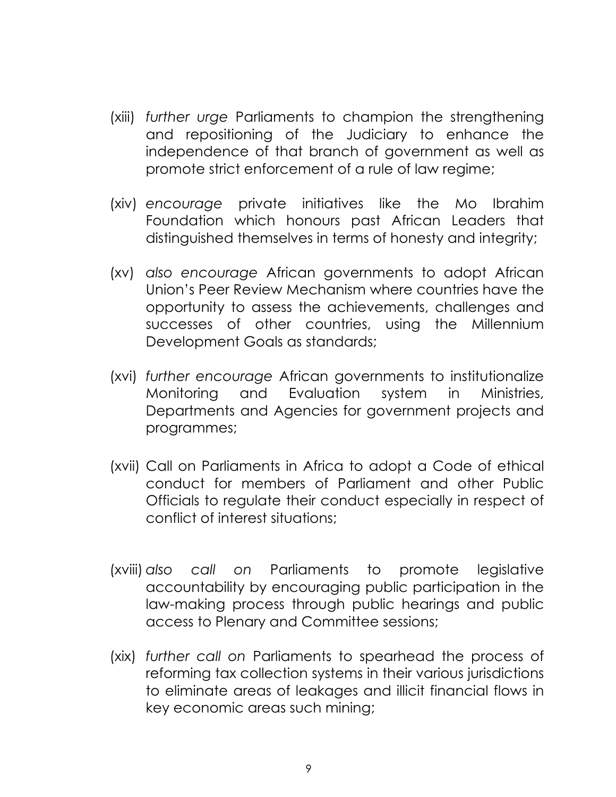- (xiii) *further urge* Parliaments to champion the strengthening and repositioning of the Judiciary to enhance the independence of that branch of government as well as promote strict enforcement of a rule of law regime;
- (xiv) *encourage* private initiatives like the Mo Ibrahim Foundation which honours past African Leaders that distinguished themselves in terms of honesty and integrity;
- (xv) *also encourage* African governments to adopt African Union's Peer Review Mechanism where countries have the opportunity to assess the achievements, challenges and successes of other countries, using the Millennium Development Goals as standards;
- (xvi) *further encourage* African governments to institutionalize Monitoring and Evaluation system in Ministries, Departments and Agencies for government projects and programmes;
- (xvii) Call on Parliaments in Africa to adopt a Code of ethical conduct for members of Parliament and other Public Officials to regulate their conduct especially in respect of conflict of interest situations;
- (xviii) *also call on* Parliaments to promote legislative accountability by encouraging public participation in the law-making process through public hearings and public access to Plenary and Committee sessions;
- (xix) *further call on* Parliaments to spearhead the process of reforming tax collection systems in their various jurisdictions to eliminate areas of leakages and illicit financial flows in key economic areas such mining;